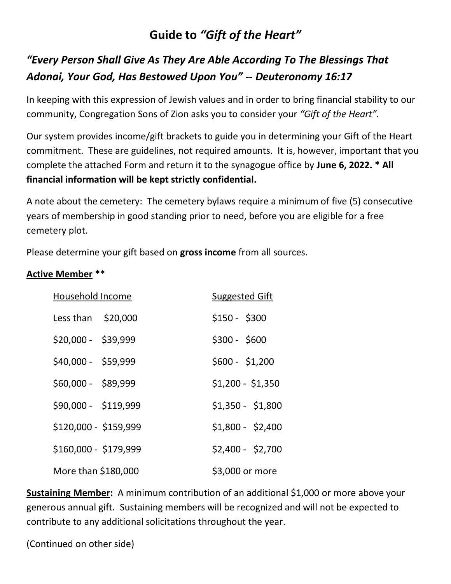# **Guide to** *"Gift of the Heart"*

# *"Every Person Shall Give As They Are Able According To The Blessings That Adonai, Your God, Has Bestowed Upon You" -- Deuteronomy 16:17*

In keeping with this expression of Jewish values and in order to bring financial stability to our community, Congregation Sons of Zion asks you to consider your *"Gift of the Heart".* 

Our system provides income/gift brackets to guide you in determining your Gift of the Heart commitment. These are guidelines, not required amounts. It is, however, important that you complete the attached Form and return it to the synagogue office by **June 6, 2022. \* All financial information will be kept strictly confidential.**

A note about the cemetery: The cemetery bylaws require a minimum of five (5) consecutive years of membership in good standing prior to need, before you are eligible for a free cemetery plot.

Please determine your gift based on **gross income** from all sources.

#### **Active Member \***\*

| Household Income      | <b>Suggested Gift</b> |
|-----------------------|-----------------------|
| Less than $$20,000$   | $$150 - $300$         |
| \$20,000 - \$39,999   | $$300 - $600$         |
| \$40,000 - \$59,999   | $$600 - $1,200$       |
| \$60,000 - \$89,999   | $$1,200 - $1,350$     |
| \$90,000 - \$119,999  | $$1,350 - $1,800$     |
| \$120,000 - \$159,999 | $$1,800 - $2,400$     |
| \$160,000 - \$179,999 | \$2,400 - \$2,700     |
| More than \$180,000   | \$3,000 or more       |

**Sustaining Member:** A minimum contribution of an additional \$1,000 or more above your generous annual gift. Sustaining members will be recognized and will not be expected to contribute to any additional solicitations throughout the year.

(Continued on other side)